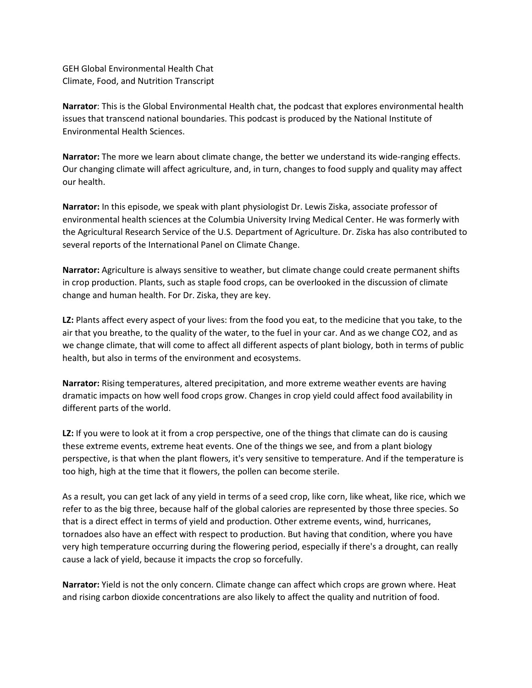GEH Global Environmental Health Chat Climate, Food, and Nutrition Transcript

**Narrator**: This is the Global Environmental Health chat, the podcast that explores environmental health issues that transcend national boundaries. This podcast is produced by the National Institute of Environmental Health Sciences.

**Narrator:** The more we learn about climate change, the better we understand its wide-ranging effects. Our changing climate will affect agriculture, and, in turn, changes to food supply and quality may affect our health.

**Narrator:** In this episode, we speak with plant physiologist Dr. Lewis Ziska, associate professor of environmental health sciences at the Columbia University Irving Medical Center. He was formerly with the Agricultural Research Service of the U.S. Department of Agriculture. Dr. Ziska has also contributed to several reports of the International Panel on Climate Change.

**Narrator:** Agriculture is always sensitive to weather, but climate change could create permanent shifts in crop production. Plants, such as staple food crops, can be overlooked in the discussion of climate change and human health. For Dr. Ziska, they are key.

**LZ:** Plants affect every aspect of your lives: from the food you eat, to the medicine that you take, to the air that you breathe, to the quality of the water, to the fuel in your car. And as we change CO2, and as we change climate, that will come to affect all different aspects of plant biology, both in terms of public health, but also in terms of the environment and ecosystems.

**Narrator:** Rising temperatures, altered precipitation, and more extreme weather events are having dramatic impacts on how well food crops grow. Changes in crop yield could affect food availability in different parts of the world.

**LZ:** If you were to look at it from a crop perspective, one of the things that climate can do is causing these extreme events, extreme heat events. One of the things we see, and from a plant biology perspective, is that when the plant flowers, it's very sensitive to temperature. And if the temperature is too high, high at the time that it flowers, the pollen can become sterile.

As a result, you can get lack of any yield in terms of a seed crop, like corn, like wheat, like rice, which we refer to as the big three, because half of the global calories are represented by those three species. So that is a direct effect in terms of yield and production. Other extreme events, wind, hurricanes, tornadoes also have an effect with respect to production. But having that condition, where you have very high temperature occurring during the flowering period, especially if there's a drought, can really cause a lack of yield, because it impacts the crop so forcefully.

**Narrator:** Yield is not the only concern. Climate change can affect which crops are grown where. Heat and rising carbon dioxide concentrations are also likely to affect the quality and nutrition of food.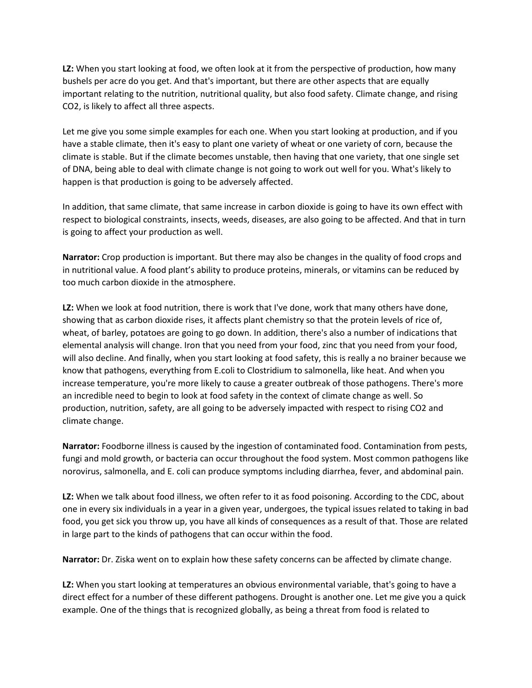**LZ:** When you start looking at food, we often look at it from the perspective of production, how many bushels per acre do you get. And that's important, but there are other aspects that are equally important relating to the nutrition, nutritional quality, but also food safety. Climate change, and rising CO2, is likely to affect all three aspects.

Let me give you some simple examples for each one. When you start looking at production, and if you have a stable climate, then it's easy to plant one variety of wheat or one variety of corn, because the climate is stable. But if the climate becomes unstable, then having that one variety, that one single set of DNA, being able to deal with climate change is not going to work out well for you. What's likely to happen is that production is going to be adversely affected.

In addition, that same climate, that same increase in carbon dioxide is going to have its own effect with respect to biological constraints, insects, weeds, diseases, are also going to be affected. And that in turn is going to affect your production as well.

**Narrator:** Crop production is important. But there may also be changes in the quality of food crops and in nutritional value. A food plant's ability to produce proteins, minerals, or vitamins can be reduced by too much carbon dioxide in the atmosphere.

**LZ:** When we look at food nutrition, there is work that I've done, work that many others have done, showing that as carbon dioxide rises, it affects plant chemistry so that the protein levels of rice of, wheat, of barley, potatoes are going to go down. In addition, there's also a number of indications that elemental analysis will change. Iron that you need from your food, zinc that you need from your food, will also decline. And finally, when you start looking at food safety, this is really a no brainer because we know that pathogens, everything from E.coli to Clostridium to salmonella, like heat. And when you increase temperature, you're more likely to cause a greater outbreak of those pathogens. There's more an incredible need to begin to look at food safety in the context of climate change as well. So production, nutrition, safety, are all going to be adversely impacted with respect to rising CO2 and climate change.

**Narrator:** Foodborne illness is caused by the ingestion of contaminated food. Contamination from pests, fungi and mold growth, or bacteria can occur throughout the food system. Most common pathogens like norovirus, salmonella, and E. coli can produce symptoms including diarrhea, fever, and abdominal pain.

**LZ:** When we talk about food illness, we often refer to it as food poisoning. According to the CDC, about one in every six individuals in a year in a given year, undergoes, the typical issues related to taking in bad food, you get sick you throw up, you have all kinds of consequences as a result of that. Those are related in large part to the kinds of pathogens that can occur within the food.

**Narrator:** Dr. Ziska went on to explain how these safety concerns can be affected by climate change.

**LZ:** When you start looking at temperatures an obvious environmental variable, that's going to have a direct effect for a number of these different pathogens. Drought is another one. Let me give you a quick example. One of the things that is recognized globally, as being a threat from food is related to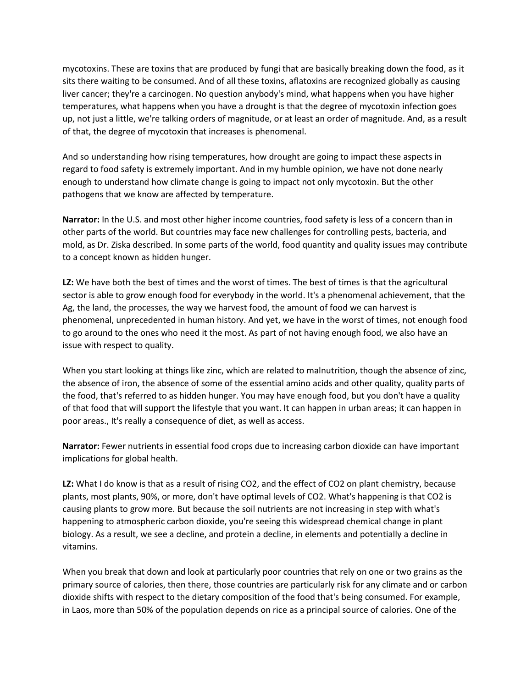mycotoxins. These are toxins that are produced by fungi that are basically breaking down the food, as it sits there waiting to be consumed. And of all these toxins, aflatoxins are recognized globally as causing liver cancer; they're a carcinogen. No question anybody's mind, what happens when you have higher temperatures, what happens when you have a drought is that the degree of mycotoxin infection goes up, not just a little, we're talking orders of magnitude, or at least an order of magnitude. And, as a result of that, the degree of mycotoxin that increases is phenomenal.

And so understanding how rising temperatures, how drought are going to impact these aspects in regard to food safety is extremely important. And in my humble opinion, we have not done nearly enough to understand how climate change is going to impact not only mycotoxin. But the other pathogens that we know are affected by temperature.

**Narrator:** In the U.S. and most other higher income countries, food safety is less of a concern than in other parts of the world. But countries may face new challenges for controlling pests, bacteria, and mold, as Dr. Ziska described. In some parts of the world, food quantity and quality issues may contribute to a concept known as hidden hunger.

**LZ:** We have both the best of times and the worst of times. The best of times is that the agricultural sector is able to grow enough food for everybody in the world. It's a phenomenal achievement, that the Ag, the land, the processes, the way we harvest food, the amount of food we can harvest is phenomenal, unprecedented in human history. And yet, we have in the worst of times, not enough food to go around to the ones who need it the most. As part of not having enough food, we also have an issue with respect to quality.

When you start looking at things like zinc, which are related to malnutrition, though the absence of zinc, the absence of iron, the absence of some of the essential amino acids and other quality, quality parts of the food, that's referred to as hidden hunger. You may have enough food, but you don't have a quality of that food that will support the lifestyle that you want. It can happen in urban areas; it can happen in poor areas., It's really a consequence of diet, as well as access.

**Narrator:** Fewer nutrients in essential food crops due to increasing carbon dioxide can have important implications for global health.

**LZ:** What I do know is that as a result of rising CO2, and the effect of CO2 on plant chemistry, because plants, most plants, 90%, or more, don't have optimal levels of CO2. What's happening is that CO2 is causing plants to grow more. But because the soil nutrients are not increasing in step with what's happening to atmospheric carbon dioxide, you're seeing this widespread chemical change in plant biology. As a result, we see a decline, and protein a decline, in elements and potentially a decline in vitamins.

When you break that down and look at particularly poor countries that rely on one or two grains as the primary source of calories, then there, those countries are particularly risk for any climate and or carbon dioxide shifts with respect to the dietary composition of the food that's being consumed. For example, in Laos, more than 50% of the population depends on rice as a principal source of calories. One of the